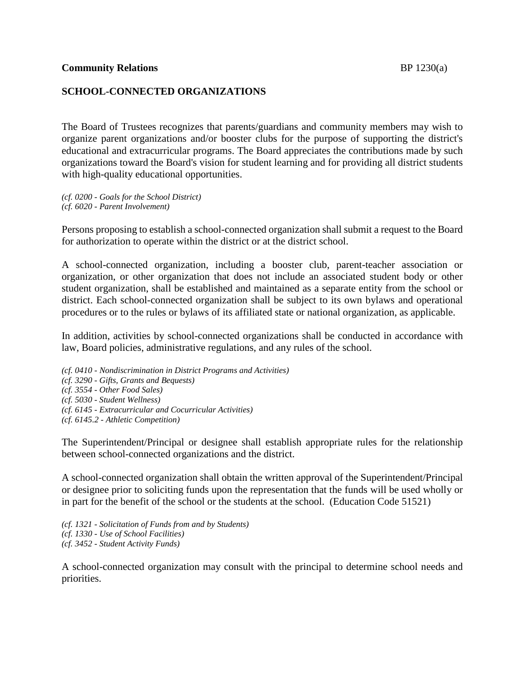### **Community Relations** BP 1230(a)

## **SCHOOL-CONNECTED ORGANIZATIONS**

The Board of Trustees recognizes that parents/guardians and community members may wish to organize parent organizations and/or booster clubs for the purpose of supporting the district's educational and extracurricular programs. The Board appreciates the contributions made by such organizations toward the Board's vision for student learning and for providing all district students with high-quality educational opportunities.

*(cf. 0200 - Goals for the School District) (cf. 6020 - Parent Involvement)*

Persons proposing to establish a school-connected organization shall submit a request to the Board for authorization to operate within the district or at the district school.

A school-connected organization, including a booster club, parent-teacher association or organization, or other organization that does not include an associated student body or other student organization, shall be established and maintained as a separate entity from the school or district. Each school-connected organization shall be subject to its own bylaws and operational procedures or to the rules or bylaws of its affiliated state or national organization, as applicable.

In addition, activities by school-connected organizations shall be conducted in accordance with law, Board policies, administrative regulations, and any rules of the school.

*(cf. 0410 - Nondiscrimination in District Programs and Activities) (cf. 3290 - Gifts, Grants and Bequests) (cf. 3554 - Other Food Sales) (cf. 5030 - Student Wellness) (cf. 6145 - Extracurricular and Cocurricular Activities) (cf. 6145.2 - Athletic Competition)*

The Superintendent/Principal or designee shall establish appropriate rules for the relationship between school-connected organizations and the district.

A school-connected organization shall obtain the written approval of the Superintendent/Principal or designee prior to soliciting funds upon the representation that the funds will be used wholly or in part for the benefit of the school or the students at the school. (Education Code 51521)

*(cf. 1321 - Solicitation of Funds from and by Students) (cf. 1330 - Use of School Facilities) (cf. 3452 - Student Activity Funds)*

A school-connected organization may consult with the principal to determine school needs and priorities.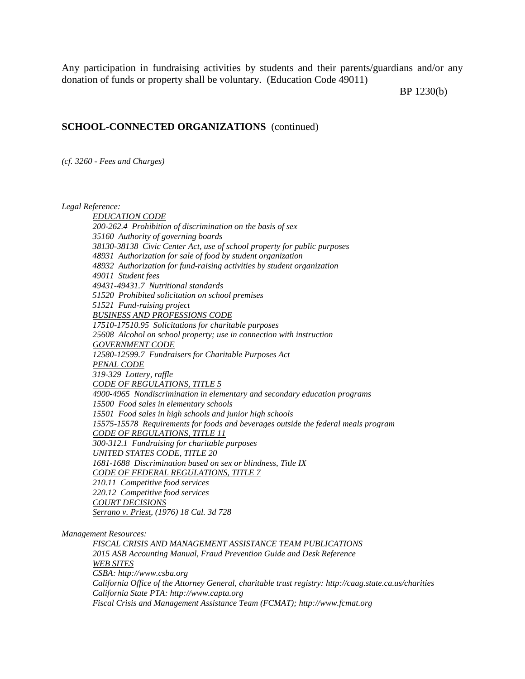Any participation in fundraising activities by students and their parents/guardians and/or any donation of funds or property shall be voluntary. (Education Code 49011)

BP 1230(b)

#### **SCHOOL-CONNECTED ORGANIZATIONS** (continued)

*(cf. 3260 - Fees and Charges)*

*Legal Reference:*

*EDUCATION CODE 200-262.4 Prohibition of discrimination on the basis of sex 35160 Authority of governing boards 38130-38138 Civic Center Act, use of school property for public purposes 48931 Authorization for sale of food by student organization 48932 Authorization for fund-raising activities by student organization 49011 Student fees 49431-49431.7 Nutritional standards 51520 Prohibited solicitation on school premises 51521 Fund-raising project BUSINESS AND PROFESSIONS CODE 17510-17510.95 Solicitations for charitable purposes 25608 Alcohol on school property; use in connection with instruction GOVERNMENT CODE 12580-12599.7 Fundraisers for Charitable Purposes Act PENAL CODE 319-329 Lottery, raffle CODE OF REGULATIONS, TITLE 5 4900-4965 Nondiscrimination in elementary and secondary education programs 15500 Food sales in elementary schools 15501 Food sales in high schools and junior high schools 15575-15578 Requirements for foods and beverages outside the federal meals program CODE OF REGULATIONS, TITLE 11 300-312.1 Fundraising for charitable purposes UNITED STATES CODE, TITLE 20 1681-1688 Discrimination based on sex or blindness, Title IX CODE OF FEDERAL REGULATIONS, TITLE 7 210.11 Competitive food services 220.12 Competitive food services COURT DECISIONS Serrano v. Priest, (1976) 18 Cal. 3d 728*

*Management Resources:*

*FISCAL CRISIS AND MANAGEMENT ASSISTANCE TEAM PUBLICATIONS 2015 ASB Accounting Manual, Fraud Prevention Guide and Desk Reference WEB SITES CSBA: http://www.csba.org California Office of the Attorney General, charitable trust registry: http://caag.state.ca.us/charities California State PTA: http://www.capta.org Fiscal Crisis and Management Assistance Team (FCMAT); http://www.fcmat.org*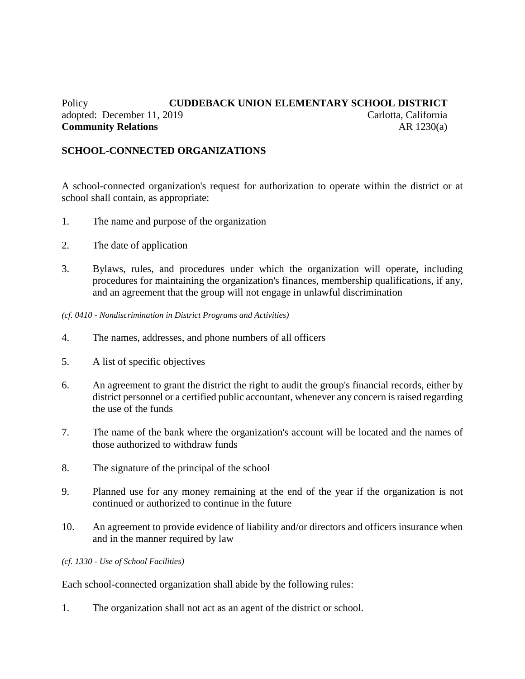# Policy **CUDDEBACK UNION ELEMENTARY SCHOOL DISTRICT** adopted: December 11, 2019 Carlotta, California **Community Relations** AR 1230(a)

# **SCHOOL-CONNECTED ORGANIZATIONS**

A school-connected organization's request for authorization to operate within the district or at school shall contain, as appropriate:

- 1. The name and purpose of the organization
- 2. The date of application
- 3. Bylaws, rules, and procedures under which the organization will operate, including procedures for maintaining the organization's finances, membership qualifications, if any, and an agreement that the group will not engage in unlawful discrimination

*(cf. 0410 - Nondiscrimination in District Programs and Activities)*

- 4. The names, addresses, and phone numbers of all officers
- 5. A list of specific objectives
- 6. An agreement to grant the district the right to audit the group's financial records, either by district personnel or a certified public accountant, whenever any concern is raised regarding the use of the funds
- 7. The name of the bank where the organization's account will be located and the names of those authorized to withdraw funds
- 8. The signature of the principal of the school
- 9. Planned use for any money remaining at the end of the year if the organization is not continued or authorized to continue in the future
- 10. An agreement to provide evidence of liability and/or directors and officers insurance when and in the manner required by law

*(cf. 1330 - Use of School Facilities)*

Each school-connected organization shall abide by the following rules:

1. The organization shall not act as an agent of the district or school.